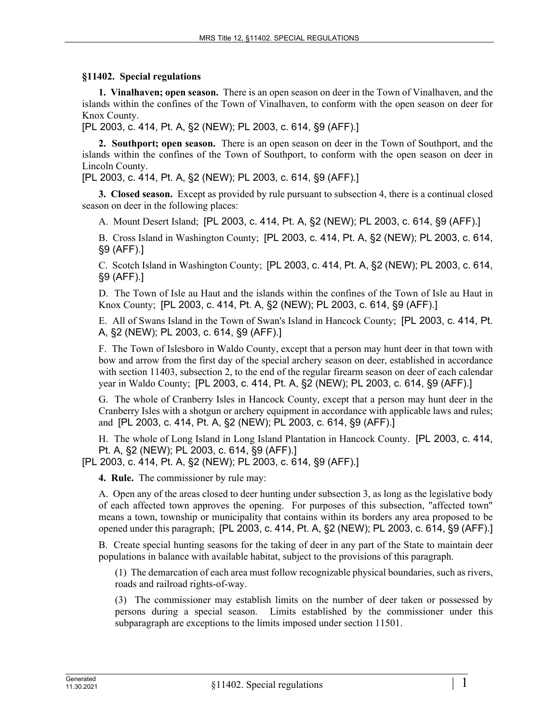## **§11402. Special regulations**

**1. Vinalhaven; open season.** There is an open season on deer in the Town of Vinalhaven, and the islands within the confines of the Town of Vinalhaven, to conform with the open season on deer for Knox County.

[PL 2003, c. 414, Pt. A, §2 (NEW); PL 2003, c. 614, §9 (AFF).]

**2. Southport; open season.** There is an open season on deer in the Town of Southport, and the islands within the confines of the Town of Southport, to conform with the open season on deer in Lincoln County.

[PL 2003, c. 414, Pt. A, §2 (NEW); PL 2003, c. 614, §9 (AFF).]

**3. Closed season.** Except as provided by rule pursuant to subsection 4, there is a continual closed season on deer in the following places:

A. Mount Desert Island; [PL 2003, c. 414, Pt. A, §2 (NEW); PL 2003, c. 614, §9 (AFF).]

B. Cross Island in Washington County; [PL 2003, c. 414, Pt. A, §2 (NEW); PL 2003, c. 614, §9 (AFF).]

C. Scotch Island in Washington County; [PL 2003, c. 414, Pt. A, §2 (NEW); PL 2003, c. 614, §9 (AFF).]

D. The Town of Isle au Haut and the islands within the confines of the Town of Isle au Haut in Knox County; [PL 2003, c. 414, Pt. A, §2 (NEW); PL 2003, c. 614, §9 (AFF).]

E. All of Swans Island in the Town of Swan's Island in Hancock County; [PL 2003, c. 414, Pt. A, §2 (NEW); PL 2003, c. 614, §9 (AFF).]

F. The Town of Islesboro in Waldo County, except that a person may hunt deer in that town with bow and arrow from the first day of the special archery season on deer, established in accordance with section 11403, subsection 2, to the end of the regular firearm season on deer of each calendar year in Waldo County; [PL 2003, c. 414, Pt. A, §2 (NEW); PL 2003, c. 614, §9 (AFF).]

G. The whole of Cranberry Isles in Hancock County, except that a person may hunt deer in the Cranberry Isles with a shotgun or archery equipment in accordance with applicable laws and rules; and [PL 2003, c. 414, Pt. A, §2 (NEW); PL 2003, c. 614, §9 (AFF).]

H. The whole of Long Island in Long Island Plantation in Hancock County. [PL 2003, c. 414, Pt. A, §2 (NEW); PL 2003, c. 614, §9 (AFF).]

[PL 2003, c. 414, Pt. A, §2 (NEW); PL 2003, c. 614, §9 (AFF).]

**4. Rule.** The commissioner by rule may:

A. Open any of the areas closed to deer hunting under subsection 3, as long as the legislative body of each affected town approves the opening. For purposes of this subsection, "affected town" means a town, township or municipality that contains within its borders any area proposed to be opened under this paragraph; [PL 2003, c. 414, Pt. A, §2 (NEW); PL 2003, c. 614, §9 (AFF).]

B. Create special hunting seasons for the taking of deer in any part of the State to maintain deer populations in balance with available habitat, subject to the provisions of this paragraph.

(1) The demarcation of each area must follow recognizable physical boundaries, such as rivers, roads and railroad rights-of-way.

(3) The commissioner may establish limits on the number of deer taken or possessed by persons during a special season. Limits established by the commissioner under this subparagraph are exceptions to the limits imposed under section 11501.